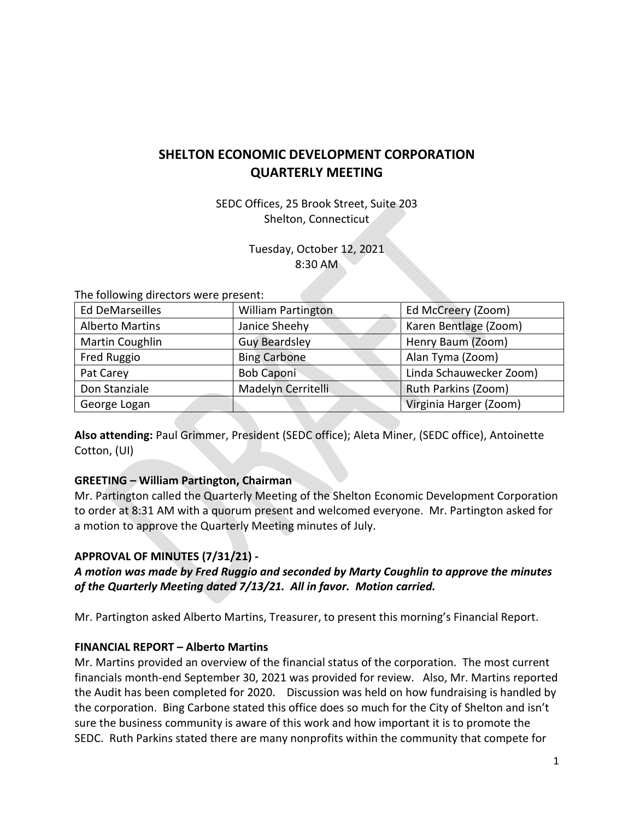## **SHELTON ECONOMIC DEVELOPMENT CORPORATION QUARTERLY MEETING**

SEDC Offices, 25 Brook Street, Suite 203 Shelton, Connecticut

> Tuesday, October 12, 2021 8:30 AM

The following directors were present:

| <b>Ed DeMarseilles</b> | <b>William Partington</b> | Ed McCreery (Zoom)      |
|------------------------|---------------------------|-------------------------|
| <b>Alberto Martins</b> | Janice Sheehy             | Karen Bentlage (Zoom)   |
| Martin Coughlin        | <b>Guy Beardsley</b>      | Henry Baum (Zoom)       |
| Fred Ruggio            | <b>Bing Carbone</b>       | Alan Tyma (Zoom)        |
| Pat Carey              | <b>Bob Caponi</b>         | Linda Schauwecker Zoom) |
| Don Stanziale          | Madelyn Cerritelli        | Ruth Parkins (Zoom)     |
| George Logan           |                           | Virginia Harger (Zoom)  |

**Also attending:** Paul Grimmer, President (SEDC office); Aleta Miner, (SEDC office), Antoinette Cotton, (UI)

#### **GREETING – William Partington, Chairman**

Mr. Partington called the Quarterly Meeting of the Shelton Economic Development Corporation to order at 8:31 AM with a quorum present and welcomed everyone. Mr. Partington asked for a motion to approve the Quarterly Meeting minutes of July.

#### **APPROVAL OF MINUTES (7/31/21) -**

*A motion was made by Fred Ruggio and seconded by Marty Coughlin to approve the minutes of the Quarterly Meeting dated 7/13/21. All in favor. Motion carried.*

Mr. Partington asked Alberto Martins, Treasurer, to present this morning's Financial Report.

#### **FINANCIAL REPORT – Alberto Martins**

Mr. Martins provided an overview of the financial status of the corporation. The most current financials month-end September 30, 2021 was provided for review. Also, Mr. Martins reported the Audit has been completed for 2020. Discussion was held on how fundraising is handled by the corporation. Bing Carbone stated this office does so much for the City of Shelton and isn't sure the business community is aware of this work and how important it is to promote the SEDC. Ruth Parkins stated there are many nonprofits within the community that compete for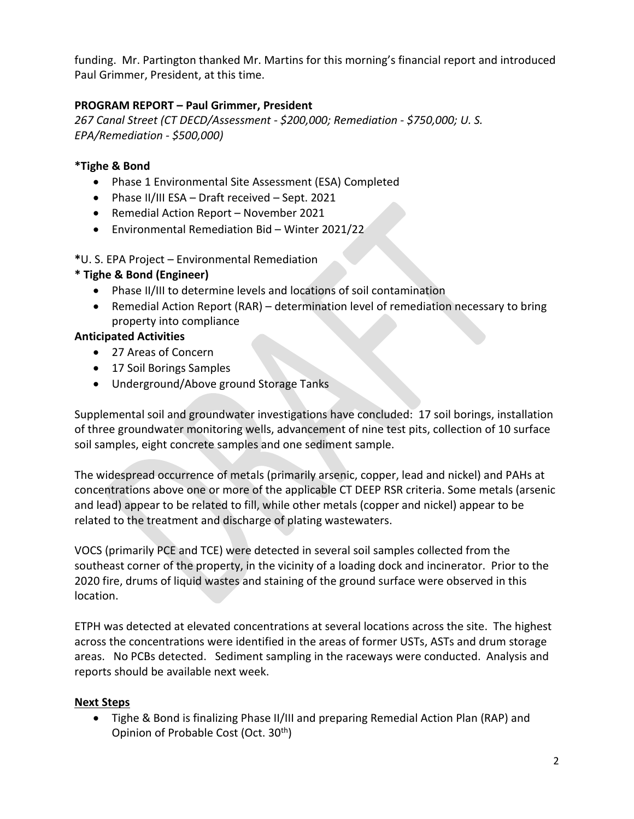funding. Mr. Partington thanked Mr. Martins for this morning's financial report and introduced Paul Grimmer, President, at this time.

### **PROGRAM REPORT – Paul Grimmer, President**

*267 Canal Street (CT DECD/Assessment - \$200,000; Remediation - \$750,000; U. S. EPA/Remediation - \$500,000)*

### **\*Tighe & Bond**

- Phase 1 Environmental Site Assessment (ESA) Completed
- Phase II/III ESA Draft received Sept. 2021
- Remedial Action Report November 2021
- Environmental Remediation Bid Winter 2021/22

**\***U. S. EPA Project – Environmental Remediation

### **\* Tighe & Bond (Engineer)**

- Phase II/III to determine levels and locations of soil contamination
- Remedial Action Report (RAR) determination level of remediation necessary to bring property into compliance

### **Anticipated Activities**

- 27 Areas of Concern
- 17 Soil Borings Samples
- Underground/Above ground Storage Tanks

Supplemental soil and groundwater investigations have concluded: 17 soil borings, installation of three groundwater monitoring wells, advancement of nine test pits, collection of 10 surface soil samples, eight concrete samples and one sediment sample.

The widespread occurrence of metals (primarily arsenic, copper, lead and nickel) and PAHs at concentrations above one or more of the applicable CT DEEP RSR criteria. Some metals (arsenic and lead) appear to be related to fill, while other metals (copper and nickel) appear to be related to the treatment and discharge of plating wastewaters.

VOCS (primarily PCE and TCE) were detected in several soil samples collected from the southeast corner of the property, in the vicinity of a loading dock and incinerator. Prior to the 2020 fire, drums of liquid wastes and staining of the ground surface were observed in this location.

ETPH was detected at elevated concentrations at several locations across the site. The highest across the concentrations were identified in the areas of former USTs, ASTs and drum storage areas. No PCBs detected. Sediment sampling in the raceways were conducted. Analysis and reports should be available next week.

### **Next Steps**

• Tighe & Bond is finalizing Phase II/III and preparing Remedial Action Plan (RAP) and Opinion of Probable Cost (Oct. 30th)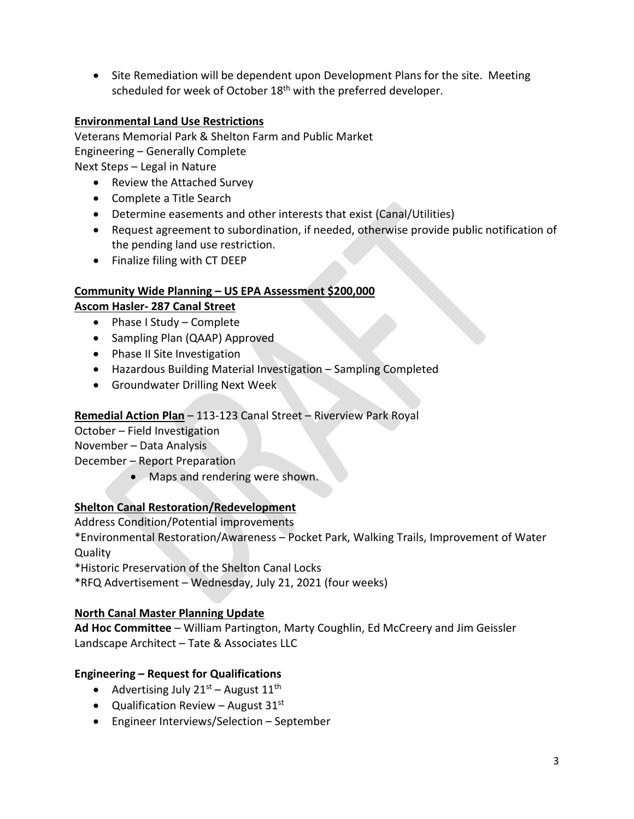• Site Remediation will be dependent upon Development Plans for the site. Meeting scheduled for week of October 18<sup>th</sup> with the preferred developer.

### **Environmental Land Use Restrictions**

Veterans Memorial Park & Shelton Farm and Public Market Engineering – Generally Complete Next Steps – Legal in Nature

- Review the Attached Survey
- Complete a Title Search
- Determine easements and other interests that exist (Canal/Utilities)
- Request agreement to subordination, if needed, otherwise provide public notification of the pending land use restriction.
- Finalize filing with CT DEEP

# **Community Wide Planning – US EPA Assessment \$200,000**

### **Ascom Hasler- 287 Canal Street**

- Phase I Study Complete
- Sampling Plan (QAAP) Approved
- Phase II Site Investigation
- Hazardous Building Material Investigation Sampling Completed
- Groundwater Drilling Next Week

### **Remedial Action Plan** – 113-123 Canal Street – Riverview Park Royal

October – Field Investigation

November – Data Analysis

December – Report Preparation

• Maps and rendering were shown.

## **Shelton Canal Restoration/Redevelopment**

Address Condition/Potential improvements

\*Environmental Restoration/Awareness – Pocket Park, Walking Trails, Improvement of Water Quality

\*Historic Preservation of the Shelton Canal Locks

\*RFQ Advertisement – Wednesday, July 21, 2021 (four weeks)

### **North Canal Master Planning Update**

**Ad Hoc Committee** – William Partington, Marty Coughlin, Ed McCreery and Jim Geissler Landscape Architect – Tate & Associates LLC

### **Engineering – Request for Qualifications**

- Advertising July  $21^{st}$  August  $11^{th}$
- Qualification Review August  $31<sup>st</sup>$
- Engineer Interviews/Selection September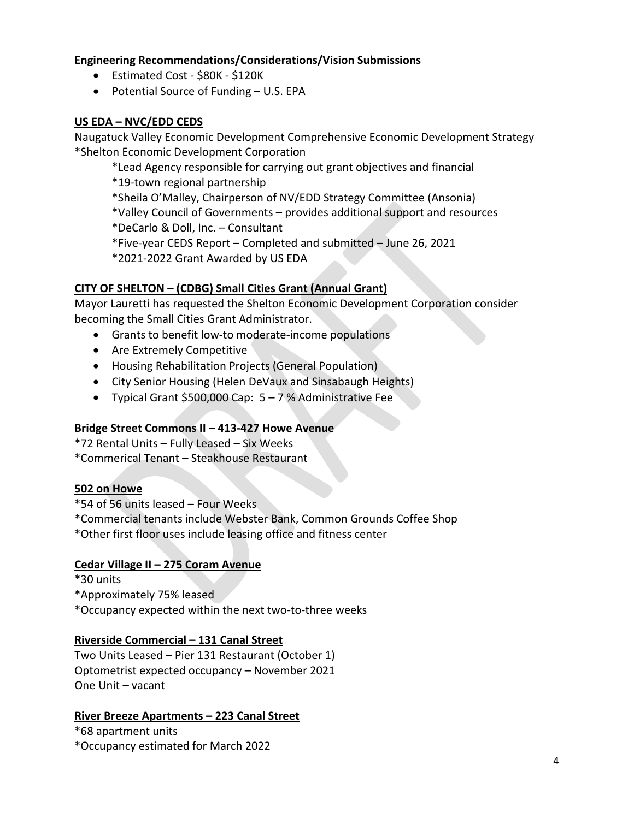### **Engineering Recommendations/Considerations/Vision Submissions**

- Estimated Cost \$80K \$120K
- Potential Source of Funding U.S. EPA

### **US EDA – NVC/EDD CEDS**

Naugatuck Valley Economic Development Comprehensive Economic Development Strategy \*Shelton Economic Development Corporation

- \*Lead Agency responsible for carrying out grant objectives and financial
- \*19-town regional partnership
- \*Sheila O'Malley, Chairperson of NV/EDD Strategy Committee (Ansonia)
- \*Valley Council of Governments provides additional support and resources
- \*DeCarlo & Doll, Inc. Consultant
- \*Five-year CEDS Report Completed and submitted June 26, 2021
- \*2021-2022 Grant Awarded by US EDA

### **CITY OF SHELTON – (CDBG) Small Cities Grant (Annual Grant)**

Mayor Lauretti has requested the Shelton Economic Development Corporation consider becoming the Small Cities Grant Administrator.

- Grants to benefit low-to moderate-income populations
- Are Extremely Competitive
- Housing Rehabilitation Projects (General Population)
- City Senior Housing (Helen DeVaux and Sinsabaugh Heights)
- Typical Grant \$500,000 Cap: 5 7 % Administrative Fee

### **Bridge Street Commons II – 413-427 Howe Avenue**

\*72 Rental Units – Fully Leased – Six Weeks

\*Commerical Tenant – Steakhouse Restaurant

### **502 on Howe**

\*54 of 56 units leased – Four Weeks

\*Commercial tenants include Webster Bank, Common Grounds Coffee Shop

\*Other first floor uses include leasing office and fitness center

### **Cedar Village II – 275 Coram Avenue**

- \*30 units
- \*Approximately 75% leased
- \*Occupancy expected within the next two-to-three weeks

### **Riverside Commercial – 131 Canal Street**

Two Units Leased – Pier 131 Restaurant (October 1) Optometrist expected occupancy – November 2021 One Unit – vacant

### **River Breeze Apartments – 223 Canal Street**

\*68 apartment units \*Occupancy estimated for March 2022